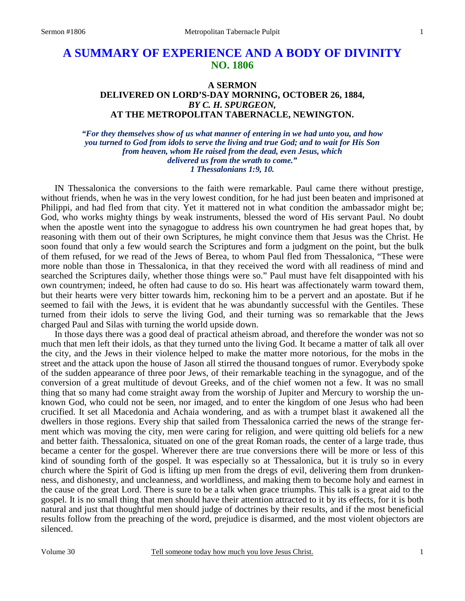# **A SUMMARY OF EXPERIENCE AND A BODY OF DIVINITY NO. 1806**

### **A SERMON DELIVERED ON LORD'S-DAY MORNING, OCTOBER 26, 1884,**  *BY C. H. SPURGEON,*  **AT THE METROPOLITAN TABERNACLE, NEWINGTON.**

*"For they themselves show of us what manner of entering in we had unto you, and how you turned to God from idols to serve the living and true God; and to wait for His Son from heaven, whom He raised from the dead, even Jesus, which delivered us from the wrath to come." 1 Thessalonians 1:9, 10.* 

IN Thessalonica the conversions to the faith were remarkable. Paul came there without prestige, without friends, when he was in the very lowest condition, for he had just been beaten and imprisoned at Philippi, and had fled from that city. Yet it mattered not in what condition the ambassador might be; God, who works mighty things by weak instruments, blessed the word of His servant Paul. No doubt when the apostle went into the synagogue to address his own countrymen he had great hopes that, by reasoning with them out of their own Scriptures, he might convince them that Jesus was the Christ. He soon found that only a few would search the Scriptures and form a judgment on the point, but the bulk of them refused, for we read of the Jews of Berea, to whom Paul fled from Thessalonica, "These were more noble than those in Thessalonica, in that they received the word with all readiness of mind and searched the Scriptures daily, whether those things were so." Paul must have felt disappointed with his own countrymen; indeed, he often had cause to do so. His heart was affectionately warm toward them, but their hearts were very bitter towards him, reckoning him to be a pervert and an apostate. But if he seemed to fail with the Jews, it is evident that he was abundantly successful with the Gentiles. These turned from their idols to serve the living God, and their turning was so remarkable that the Jews charged Paul and Silas with turning the world upside down.

 In those days there was a good deal of practical atheism abroad, and therefore the wonder was not so much that men left their idols, as that they turned unto the living God. It became a matter of talk all over the city, and the Jews in their violence helped to make the matter more notorious, for the mobs in the street and the attack upon the house of Jason all stirred the thousand tongues of rumor. Everybody spoke of the sudden appearance of three poor Jews, of their remarkable teaching in the synagogue, and of the conversion of a great multitude of devout Greeks, and of the chief women not a few. It was no small thing that so many had come straight away from the worship of Jupiter and Mercury to worship the unknown God, who could not be seen, nor imaged, and to enter the kingdom of one Jesus who had been crucified. It set all Macedonia and Achaia wondering, and as with a trumpet blast it awakened all the dwellers in those regions. Every ship that sailed from Thessalonica carried the news of the strange ferment which was moving the city, men were caring for religion, and were quitting old beliefs for a new and better faith. Thessalonica, situated on one of the great Roman roads, the center of a large trade, thus became a center for the gospel. Wherever there are true conversions there will be more or less of this kind of sounding forth of the gospel. It was especially so at Thessalonica, but it is truly so in every church where the Spirit of God is lifting up men from the dregs of evil, delivering them from drunkenness, and dishonesty, and uncleanness, and worldliness, and making them to become holy and earnest in the cause of the great Lord. There is sure to be a talk when grace triumphs. This talk is a great aid to the gospel. It is no small thing that men should have their attention attracted to it by its effects, for it is both natural and just that thoughtful men should judge of doctrines by their results, and if the most beneficial results follow from the preaching of the word, prejudice is disarmed, and the most violent objectors are silenced.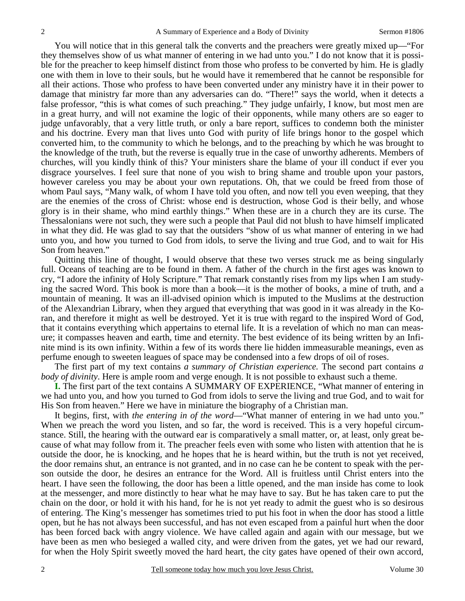You will notice that in this general talk the converts and the preachers were greatly mixed up—"For they themselves show of us what manner of entering in we had unto you." I do not know that it is possible for the preacher to keep himself distinct from those who profess to be converted by him. He is gladly one with them in love to their souls, but he would have it remembered that he cannot be responsible for all their actions. Those who profess to have been converted under any ministry have it in their power to damage that ministry far more than any adversaries can do. "There!" says the world, when it detects a false professor, "this is what comes of such preaching." They judge unfairly, I know, but most men are in a great hurry, and will not examine the logic of their opponents, while many others are so eager to judge unfavorably, that a very little truth, or only a bare report, suffices to condemn both the minister and his doctrine. Every man that lives unto God with purity of life brings honor to the gospel which converted him, to the community to which he belongs, and to the preaching by which he was brought to the knowledge of the truth, but the reverse is equally true in the case of unworthy adherents. Members of churches, will you kindly think of this? Your ministers share the blame of your ill conduct if ever you disgrace yourselves. I feel sure that none of you wish to bring shame and trouble upon your pastors, however careless you may be about your own reputations. Oh, that we could be freed from those of whom Paul says, "Many walk, of whom I have told you often, and now tell you even weeping, that they are the enemies of the cross of Christ: whose end is destruction, whose God is their belly, and whose glory is in their shame, who mind earthly things." When these are in a church they are its curse. The Thessalonians were not such, they were such a people that Paul did not blush to have himself implicated in what they did. He was glad to say that the outsiders "show of us what manner of entering in we had unto you, and how you turned to God from idols, to serve the living and true God, and to wait for His Son from heaven."

 Quitting this line of thought, I would observe that these two verses struck me as being singularly full. Oceans of teaching are to be found in them. A father of the church in the first ages was known to cry, "I adore the infinity of Holy Scripture." That remark constantly rises from my lips when I am studying the sacred Word. This book is more than a book—it is the mother of books, a mine of truth, and a mountain of meaning. It was an ill-advised opinion which is imputed to the Muslims at the destruction of the Alexandrian Library, when they argued that everything that was good in it was already in the Koran, and therefore it might as well be destroyed. Yet it is true with regard to the inspired Word of God, that it contains everything which appertains to eternal life. It is a revelation of which no man can measure; it compasses heaven and earth, time and eternity. The best evidence of its being written by an Infinite mind is its own infinity. Within a few of its words there lie hidden immeasurable meanings, even as perfume enough to sweeten leagues of space may be condensed into a few drops of oil of roses.

 The first part of my text contains *a summary of Christian experience.* The second part contains *a body of divinity*. Here is ample room and verge enough. It is not possible to exhaust such a theme.

**I.** The first part of the text contains A SUMMARY OF EXPERIENCE, "What manner of entering in we had unto you, and how you turned to God from idols to serve the living and true God, and to wait for His Son from heaven." Here we have in miniature the biography of a Christian man.

 It begins, first, with *the entering in of the word*—"What manner of entering in we had unto you." When we preach the word you listen, and so far, the word is received. This is a very hopeful circumstance. Still, the hearing with the outward ear is comparatively a small matter, or, at least, only great because of what may follow from it. The preacher feels even with some who listen with attention that he is outside the door, he is knocking, and he hopes that he is heard within, but the truth is not yet received, the door remains shut, an entrance is not granted, and in no case can he be content to speak with the person outside the door, he desires an entrance for the Word. All is fruitless until Christ enters into the heart. I have seen the following, the door has been a little opened, and the man inside has come to look at the messenger, and more distinctly to hear what he may have to say. But he has taken care to put the chain on the door, or hold it with his hand, for he is not yet ready to admit the guest who is so desirous of entering. The King's messenger has sometimes tried to put his foot in when the door has stood a little open, but he has not always been successful, and has not even escaped from a painful hurt when the door has been forced back with angry violence. We have called again and again with our message, but we have been as men who besieged a walled city, and were driven from the gates, yet we had our reward, for when the Holy Spirit sweetly moved the hard heart, the city gates have opened of their own accord,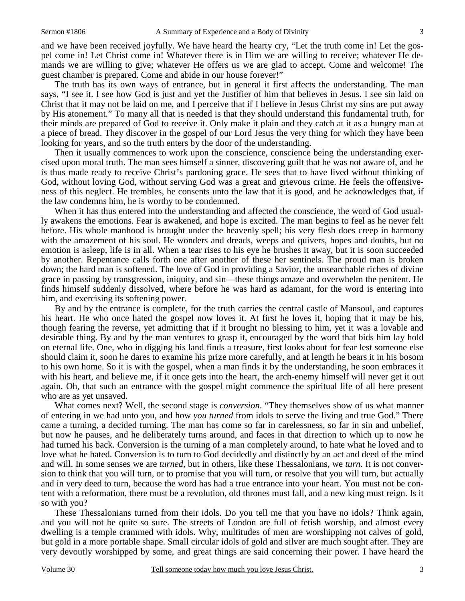and we have been received joyfully. We have heard the hearty cry, "Let the truth come in! Let the gospel come in! Let Christ come in! Whatever there is in Him we are willing to receive; whatever He demands we are willing to give; whatever He offers us we are glad to accept. Come and welcome! The guest chamber is prepared. Come and abide in our house forever!"

 The truth has its own ways of entrance, but in general it first affects the understanding. The man says, "I see it. I see how God is just and yet the Justifier of him that believes in Jesus. I see sin laid on Christ that it may not be laid on me, and I perceive that if I believe in Jesus Christ my sins are put away by His atonement." To many all that is needed is that they should understand this fundamental truth, for their minds are prepared of God to receive it. Only make it plain and they catch at it as a hungry man at a piece of bread. They discover in the gospel of our Lord Jesus the very thing for which they have been looking for years, and so the truth enters by the door of the understanding.

 Then it usually commences to work upon the conscience, conscience being the understanding exercised upon moral truth. The man sees himself a sinner, discovering guilt that he was not aware of, and he is thus made ready to receive Christ's pardoning grace. He sees that to have lived without thinking of God, without loving God, without serving God was a great and grievous crime. He feels the offensiveness of this neglect. He trembles, he consents unto the law that it is good, and he acknowledges that, if the law condemns him, he is worthy to be condemned.

When it has thus entered into the understanding and affected the conscience, the word of God usually awakens the emotions. Fear is awakened, and hope is excited. The man begins to feel as he never felt before. His whole manhood is brought under the heavenly spell; his very flesh does creep in harmony with the amazement of his soul. He wonders and dreads, weeps and quivers, hopes and doubts, but no emotion is asleep, life is in all. When a tear rises to his eye he brushes it away, but it is soon succeeded by another. Repentance calls forth one after another of these her sentinels. The proud man is broken down; the hard man is softened. The love of God in providing a Savior, the unsearchable riches of divine grace in passing by transgression, iniquity, and sin—these things amaze and overwhelm the penitent. He finds himself suddenly dissolved, where before he was hard as adamant, for the word is entering into him, and exercising its softening power.

 By and by the entrance is complete, for the truth carries the central castle of Mansoul, and captures his heart. He who once hated the gospel now loves it. At first he loves it, hoping that it may be his, though fearing the reverse, yet admitting that if it brought no blessing to him, yet it was a lovable and desirable thing. By and by the man ventures to grasp it, encouraged by the word that bids him lay hold on eternal life. One, who in digging his land finds a treasure, first looks about for fear lest someone else should claim it, soon he dares to examine his prize more carefully, and at length he bears it in his bosom to his own home. So it is with the gospel, when a man finds it by the understanding, he soon embraces it with his heart, and believe me, if it once gets into the heart, the arch-enemy himself will never get it out again. Oh, that such an entrance with the gospel might commence the spiritual life of all here present who are as yet unsaved.

 What comes next? Well, the second stage is *conversion*. "They themselves show of us what manner of entering in we had unto you, and how *you turned* from idols to serve the living and true God." There came a turning, a decided turning. The man has come so far in carelessness, so far in sin and unbelief, but now he pauses, and he deliberately turns around, and faces in that direction to which up to now he had turned his back. Conversion is the turning of a man completely around, to hate what he loved and to love what he hated. Conversion is to turn to God decidedly and distinctly by an act and deed of the mind and will. In some senses we are *turned,* but in others, like these Thessalonians, we *turn*. It is not conversion to think that you will turn, or to promise that you will turn, or resolve that you will turn, but actually and in very deed to turn, because the word has had a true entrance into your heart. You must not be content with a reformation, there must be a revolution, old thrones must fall, and a new king must reign. Is it so with you?

 These Thessalonians turned from their idols. Do you tell me that you have no idols? Think again, and you will not be quite so sure. The streets of London are full of fetish worship, and almost every dwelling is a temple crammed with idols. Why, multitudes of men are worshipping not calves of gold, but gold in a more portable shape. Small circular idols of gold and silver are much sought after. They are very devoutly worshipped by some, and great things are said concerning their power. I have heard the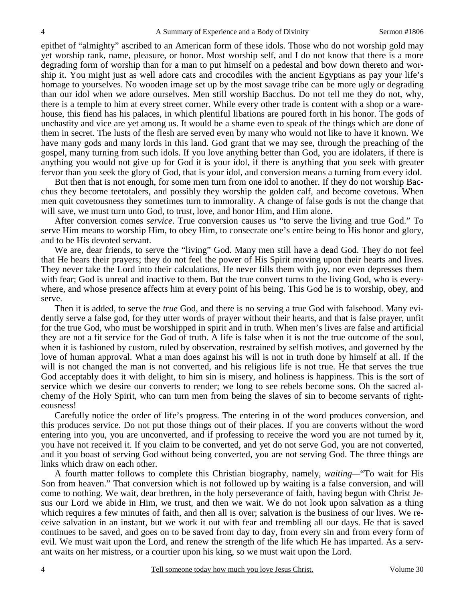epithet of "almighty" ascribed to an American form of these idols. Those who do not worship gold may yet worship rank, name, pleasure, or honor. Most worship self, and I do not know that there is a more degrading form of worship than for a man to put himself on a pedestal and bow down thereto and worship it. You might just as well adore cats and crocodiles with the ancient Egyptians as pay your life's homage to yourselves. No wooden image set up by the most savage tribe can be more ugly or degrading than our idol when we adore ourselves. Men still worship Bacchus. Do not tell me they do not, why, there is a temple to him at every street corner. While every other trade is content with a shop or a warehouse, this fiend has his palaces, in which plentiful libations are poured forth in his honor. The gods of unchastity and vice are yet among us. It would be a shame even to speak of the things which are done of them in secret. The lusts of the flesh are served even by many who would not like to have it known. We have many gods and many lords in this land. God grant that we may see, through the preaching of the gospel, many turning from such idols. If you love anything better than God, you are idolaters, if there is anything you would not give up for God it is your idol, if there is anything that you seek with greater fervor than you seek the glory of God, that is your idol, and conversion means a turning from every idol.

 But then that is not enough, for some men turn from one idol to another. If they do not worship Bacchus they become teetotalers, and possibly they worship the golden calf, and become covetous. When men quit covetousness they sometimes turn to immorality. A change of false gods is not the change that will save, we must turn unto God, to trust, love, and honor Him, and Him alone.

 After conversion comes *service*. True conversion causes us "to serve the living and true God." To serve Him means to worship Him, to obey Him, to consecrate one's entire being to His honor and glory, and to be His devoted servant.

 We are, dear friends, to serve the "living" God. Many men still have a dead God. They do not feel that He hears their prayers; they do not feel the power of His Spirit moving upon their hearts and lives. They never take the Lord into their calculations, He never fills them with joy, nor even depresses them with fear; God is unreal and inactive to them. But the true convert turns to the living God, who is everywhere, and whose presence affects him at every point of his being. This God he is to worship, obey, and serve.

 Then it is added, to serve the *true* God, and there is no serving a true God with falsehood. Many evidently serve a false god, for they utter words of prayer without their hearts, and that is false prayer, unfit for the true God, who must be worshipped in spirit and in truth. When men's lives are false and artificial they are not a fit service for the God of truth. A life is false when it is not the true outcome of the soul, when it is fashioned by custom, ruled by observation, restrained by selfish motives, and governed by the love of human approval. What a man does against his will is not in truth done by himself at all. If the will is not changed the man is not converted, and his religious life is not true. He that serves the true God acceptably does it with delight, to him sin is misery, and holiness is happiness. This is the sort of service which we desire our converts to render; we long to see rebels become sons. Oh the sacred alchemy of the Holy Spirit, who can turn men from being the slaves of sin to become servants of righteousness!

 Carefully notice the order of life's progress. The entering in of the word produces conversion, and this produces service. Do not put those things out of their places. If you are converts without the word entering into you, you are unconverted, and if professing to receive the word you are not turned by it, you have not received it. If you claim to be converted, and yet do not serve God, you are not converted, and it you boast of serving God without being converted, you are not serving God. The three things are links which draw on each other.

 A fourth matter follows to complete this Christian biography, namely, *waiting—*"To wait for His Son from heaven." That conversion which is not followed up by waiting is a false conversion, and will come to nothing. We wait, dear brethren, in the holy perseverance of faith, having begun with Christ Jesus our Lord we abide in Him, we trust, and then we wait. We do not look upon salvation as a thing which requires a few minutes of faith, and then all is over; salvation is the business of our lives. We receive salvation in an instant, but we work it out with fear and trembling all our days. He that is saved continues to be saved, and goes on to be saved from day to day, from every sin and from every form of evil. We must wait upon the Lord, and renew the strength of the life which He has imparted. As a servant waits on her mistress, or a courtier upon his king, so we must wait upon the Lord.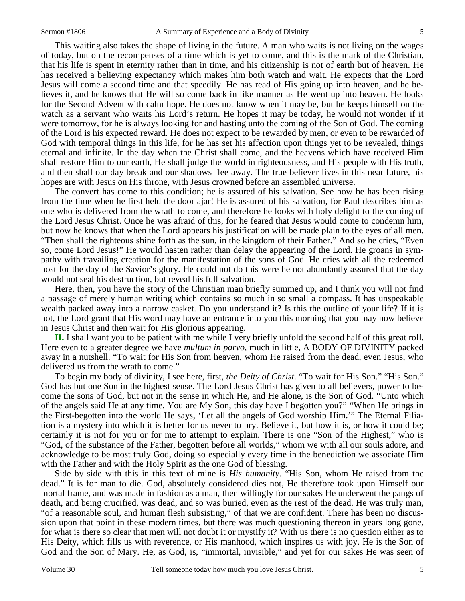This waiting also takes the shape of living in the future. A man who waits is not living on the wages of today, but on the recompenses of a time which is yet to come, and this is the mark of the Christian, that his life is spent in eternity rather than in time, and his citizenship is not of earth but of heaven. He has received a believing expectancy which makes him both watch and wait. He expects that the Lord Jesus will come a second time and that speedily. He has read of His going up into heaven, and he believes it, and he knows that He will so come back in like manner as He went up into heaven. He looks for the Second Advent with calm hope. He does not know when it may be, but he keeps himself on the watch as a servant who waits his Lord's return. He hopes it may be today, he would not wonder if it were tomorrow, for he is always looking for and hasting unto the coming of the Son of God. The coming of the Lord is his expected reward. He does not expect to be rewarded by men, or even to be rewarded of God with temporal things in this life, for he has set his affection upon things yet to be revealed, things eternal and infinite. In the day when the Christ shall come, and the heavens which have received Him shall restore Him to our earth, He shall judge the world in righteousness, and His people with His truth, and then shall our day break and our shadows flee away. The true believer lives in this near future, his hopes are with Jesus on His throne, with Jesus crowned before an assembled universe.

 The convert has come to this condition; he is assured of his salvation. See how he has been rising from the time when he first held the door ajar! He is assured of his salvation, for Paul describes him as one who is delivered from the wrath to come, and therefore he looks with holy delight to the coming of the Lord Jesus Christ. Once he was afraid of this, for he feared that Jesus would come to condemn him, but now he knows that when the Lord appears his justification will be made plain to the eyes of all men. "Then shall the righteous shine forth as the sun, in the kingdom of their Father." And so he cries, "Even so, come Lord Jesus!" He would hasten rather than delay the appearing of the Lord. He groans in sympathy with travailing creation for the manifestation of the sons of God. He cries with all the redeemed host for the day of the Savior's glory. He could not do this were he not abundantly assured that the day would not seal his destruction, but reveal his full salvation.

 Here, then, you have the story of the Christian man briefly summed up, and I think you will not find a passage of merely human writing which contains so much in so small a compass. It has unspeakable wealth packed away into a narrow casket. Do you understand it? Is this the outline of your life? If it is not, the Lord grant that His word may have an entrance into you this morning that you may now believe in Jesus Christ and then wait for His glorious appearing.

**II.** I shall want you to be patient with me while I very briefly unfold the second half of this great roll. Here even to a greater degree we have *multum in parvo,* much in little, A BODY OF DIVINITY packed away in a nutshell. "To wait for His Son from heaven, whom He raised from the dead, even Jesus, who delivered us from the wrath to come."

 To begin my body of divinity, I see here, first, *the Deity of Christ*. "To wait for His Son." "His Son." God has but one Son in the highest sense. The Lord Jesus Christ has given to all believers, power to become the sons of God, but not in the sense in which He, and He alone, is the Son of God. "Unto which of the angels said He at any time, You are My Son, this day have I begotten you?" "When He brings in the First-begotten into the world He says, 'Let all the angels of God worship Him.'" The Eternal Filiation is a mystery into which it is better for us never to pry. Believe it, but how it is, or how it could be; certainly it is not for you or for me to attempt to explain. There is one "Son of the Highest," who is "God, of the substance of the Father, begotten before all worlds," whom we with all our souls adore, and acknowledge to be most truly God, doing so especially every time in the benediction we associate Him with the Father and with the Holy Spirit as the one God of blessing.

 Side by side with this in this text of mine is *His humanity*. "His Son, whom He raised from the dead." It is for man to die. God, absolutely considered dies not, He therefore took upon Himself our mortal frame, and was made in fashion as a man, then willingly for our sakes He underwent the pangs of death, and being crucified, was dead, and so was buried, even as the rest of the dead. He was truly man, "of a reasonable soul, and human flesh subsisting," of that we are confident. There has been no discussion upon that point in these modern times, but there was much questioning thereon in years long gone, for what is there so clear that men will not doubt it or mystify it? With us there is no question either as to His Deity, which fills us with reverence, or His manhood, which inspires us with joy. He is the Son of God and the Son of Mary. He, as God, is, "immortal, invisible," and yet for our sakes He was seen of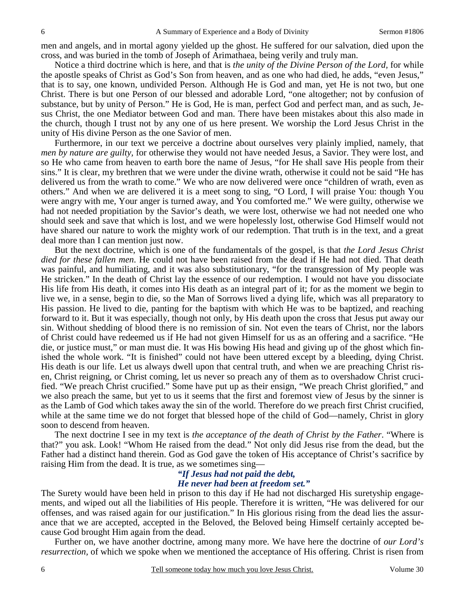men and angels, and in mortal agony yielded up the ghost. He suffered for our salvation, died upon the cross, and was buried in the tomb of Joseph of Arimathaea, being verily and truly man.

 Notice a third doctrine which is here, and that is *the unity of the Divine Person of the Lord,* for while the apostle speaks of Christ as God's Son from heaven, and as one who had died, he adds, "even Jesus," that is to say, one known, undivided Person. Although He is God and man, yet He is not two, but one Christ. There is but one Person of our blessed and adorable Lord, "one altogether; not by confusion of substance, but by unity of Person." He is God, He is man, perfect God and perfect man, and as such, Jesus Christ, the one Mediator between God and man. There have been mistakes about this also made in the church, though I trust not by any one of us here present. We worship the Lord Jesus Christ in the unity of His divine Person as the one Savior of men.

 Furthermore, in our text we perceive a doctrine about ourselves very plainly implied, namely, that *men by nature are guilty,* for otherwise they would not have needed Jesus, a Savior. They were lost, and so He who came from heaven to earth bore the name of Jesus, "for He shall save His people from their sins." It is clear, my brethren that we were under the divine wrath, otherwise it could not be said "He has delivered us from the wrath to come." We who are now delivered were once "children of wrath, even as others." And when we are delivered it is a meet song to sing, "O Lord, I will praise You: though You were angry with me, Your anger is turned away, and You comforted me." We were guilty, otherwise we had not needed propitiation by the Savior's death, we were lost, otherwise we had not needed one who should seek and save that which is lost, and we were hopelessly lost, otherwise God Himself would not have shared our nature to work the mighty work of our redemption. That truth is in the text, and a great deal more than I can mention just now.

 But the next doctrine, which is one of the fundamentals of the gospel, is that *the Lord Jesus Christ died for these fallen men*. He could not have been raised from the dead if He had not died. That death was painful, and humiliating, and it was also substitutionary, "for the transgression of My people was He stricken." In the death of Christ lay the essence of our redemption. I would not have you dissociate His life from His death, it comes into His death as an integral part of it; for as the moment we begin to live we, in a sense, begin to die, so the Man of Sorrows lived a dying life, which was all preparatory to His passion. He lived to die, panting for the baptism with which He was to be baptized, and reaching forward to it. But it was especially, though not only, by His death upon the cross that Jesus put away our sin. Without shedding of blood there is no remission of sin. Not even the tears of Christ, nor the labors of Christ could have redeemed us if He had not given Himself for us as an offering and a sacrifice. "He die, or justice must," or man must die. It was His bowing His head and giving up of the ghost which finished the whole work. "It is finished" could not have been uttered except by a bleeding, dying Christ. His death is our life. Let us always dwell upon that central truth, and when we are preaching Christ risen, Christ reigning, or Christ coming, let us never so preach any of them as to overshadow Christ crucified. "We preach Christ crucified." Some have put up as their ensign, "We preach Christ glorified," and we also preach the same, but yet to us it seems that the first and foremost view of Jesus by the sinner is as the Lamb of God which takes away the sin of the world. Therefore do we preach first Christ crucified, while at the same time we do not forget that blessed hope of the child of God—namely, Christ in glory soon to descend from heaven.

 The next doctrine I see in my text is *the acceptance of the death of Christ by the Father*. "Where is that?" you ask. Look! "Whom He raised from the dead." Not only did Jesus rise from the dead, but the Father had a distinct hand therein. God as God gave the token of His acceptance of Christ's sacrifice by raising Him from the dead. It is true, as we sometimes sing—

#### *"If Jesus had not paid the debt, He never had been at freedom set."*

The Surety would have been held in prison to this day if He had not discharged His suretyship engagements, and wiped out all the liabilities of His people. Therefore it is written, "He was delivered for our offenses, and was raised again for our justification." In His glorious rising from the dead lies the assurance that we are accepted, accepted in the Beloved, the Beloved being Himself certainly accepted because God brought Him again from the dead.

 Further on, we have another doctrine, among many more. We have here the doctrine of *our Lord's resurrection,* of which we spoke when we mentioned the acceptance of His offering. Christ is risen from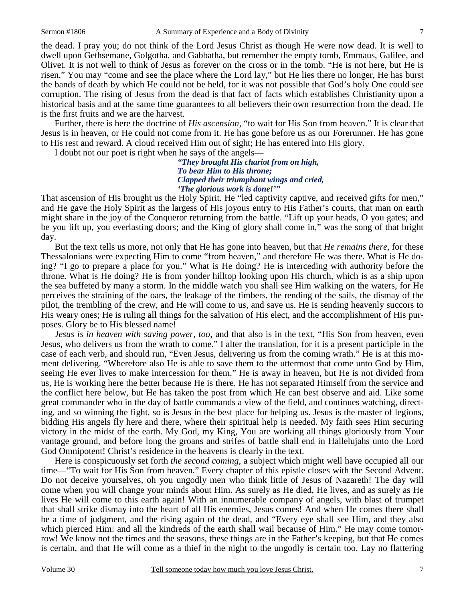the dead. I pray you; do not think of the Lord Jesus Christ as though He were now dead. It is well to dwell upon Gethsemane, Golgotha, and Gabbatha, but remember the empty tomb, Emmaus, Galilee, and Olivet. It is not well to think of Jesus as forever on the cross or in the tomb. "He is not here, but He is risen." You may "come and see the place where the Lord lay," but He lies there no longer, He has burst the bands of death by which He could not be held, for it was not possible that God's holy One could see corruption. The rising of Jesus from the dead is that fact of facts which establishes Christianity upon a historical basis and at the same time guarantees to all believers their own resurrection from the dead. He is the first fruits and we are the harvest.

 Further, there is here the doctrine of *His ascension,* "to wait for His Son from heaven." It is clear that Jesus is in heaven, or He could not come from it. He has gone before us as our Forerunner. He has gone to His rest and reward. A cloud received Him out of sight; He has entered into His glory.

I doubt not our poet is right when he says of the angels—

*"They brought His chariot from on high, To bear Him to His throne; Clapped their triumphant wings and cried, 'The glorious work is done!'"* 

That ascension of His brought us the Holy Spirit. He "led captivity captive, and received gifts for men," and He gave the Holy Spirit as the largess of His joyous entry to His Father's courts, that man on earth might share in the joy of the Conqueror returning from the battle. "Lift up your heads, O you gates; and be you lift up, you everlasting doors; and the King of glory shall come in," was the song of that bright day.

 But the text tells us more, not only that He has gone into heaven, but that *He remains there,* for these Thessalonians were expecting Him to come "from heaven," and therefore He was there. What is He doing? "I go to prepare a place for you." What is He doing? He is interceding with authority before the throne. What is He doing? He is from yonder hilltop looking upon His church, which is as a ship upon the sea buffeted by many a storm. In the middle watch you shall see Him walking on the waters, for He perceives the straining of the oars, the leakage of the timbers, the rending of the sails, the dismay of the pilot, the trembling of the crew, and He will come to us, and save us. He is sending heavenly succors to His weary ones; He is ruling all things for the salvation of His elect, and the accomplishment of His purposes. Glory be to His blessed name!

*Jesus is in heaven with saving power, too*, and that also is in the text, "His Son from heaven, even Jesus, who delivers us from the wrath to come." I alter the translation, for it is a present participle in the case of each verb, and should run, "Even Jesus, delivering us from the coming wrath." He is at this moment delivering. "Wherefore also He is able to save them to the uttermost that come unto God by Him, seeing He ever lives to make intercession for them." He is away in heaven, but He is not divided from us, He is working here the better because He is there. He has not separated Himself from the service and the conflict here below, but He has taken the post from which He can best observe and aid. Like some great commander who in the day of battle commands a view of the field, and continues watching, directing, and so winning the fight, so is Jesus in the best place for helping us. Jesus is the master of legions, bidding His angels fly here and there, where their spiritual help is needed. My faith sees Him securing victory in the midst of the earth. My God, my King, You are working all things gloriously from Your vantage ground, and before long the groans and strifes of battle shall end in Hallelujahs unto the Lord God Omnipotent! Christ's residence in the heavens is clearly in the text.

 Here is conspicuously set forth *the second coming,* a subject which might well have occupied all our time—"To wait for His Son from heaven." Every chapter of this epistle closes with the Second Advent. Do not deceive yourselves, oh you ungodly men who think little of Jesus of Nazareth! The day will come when you will change your minds about Him. As surely as He died, He lives, and as surely as He lives He will come to this earth again! With an innumerable company of angels, with blast of trumpet that shall strike dismay into the heart of all His enemies, Jesus comes! And when He comes there shall be a time of judgment, and the rising again of the dead, and "Every eye shall see Him, and they also which pierced Him: and all the kindreds of the earth shall wail because of Him." He may come tomorrow! We know not the times and the seasons, these things are in the Father's keeping, but that He comes is certain, and that He will come as a thief in the night to the ungodly is certain too. Lay no flattering